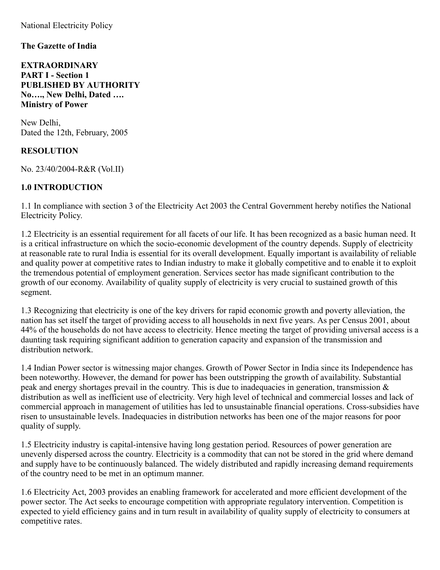National Electricity Policy

#### **The Gazette of India**

**EXTRAORDINARY PART I - Section 1 PUBLISHED BY AUTHORITY No…., New Delhi, Dated …. Ministry of Power**

New Delhi, Dated the 12th, February, 2005

#### **RESOLUTION**

No. 23/40/2004-R&R (Vol.II)

#### **1.0 INTRODUCTION**

1.1 In compliance with section 3 of the Electricity Act 2003 the Central Government hereby notifies the National Electricity Policy.

1.2 Electricity is an essential requirement for all facets of our life. It has been recognized as a basic human need. It is a critical infrastructure on which the socio-economic development of the country depends. Supply of electricity at reasonable rate to rural India is essential for its overall development. Equally important is availability of reliable and quality power at competitive rates to Indian industry to make it globally competitive and to enable it to exploit the tremendous potential of employment generation. Services sector has made significant contribution to the growth of our economy. Availability of quality supply of electricity is very crucial to sustained growth of this segment.

1.3 Recognizing that electricity is one of the key drivers for rapid economic growth and poverty alleviation, the nation has set itself the target of providing access to all households in next five years. As per Census 2001, about 44% of the households do not have access to electricity. Hence meeting the target of providing universal access is a daunting task requiring significant addition to generation capacity and expansion of the transmission and distribution network.

1.4 Indian Power sector is witnessing major changes. Growth of Power Sector in India since its Independence has been noteworthy. However, the demand for power has been outstripping the growth of availability. Substantial peak and energy shortages prevail in the country. This is due to inadequacies in generation, transmission & distribution as well as inefficient use of electricity. Very high level of technical and commercial losses and lack of commercial approach in management of utilities has led to unsustainable financial operations. Cross-subsidies have risen to unsustainable levels. Inadequacies in distribution networks has been one of the major reasons for poor quality of supply.

1.5 Electricity industry is capital-intensive having long gestation period. Resources of power generation are unevenly dispersed across the country. Electricity is a commodity that can not be stored in the grid where demand and supply have to be continuously balanced. The widely distributed and rapidly increasing demand requirements of the country need to be met in an optimum manner.

1.6 Electricity Act, 2003 provides an enabling framework for accelerated and more efficient development of the power sector. The Act seeks to encourage competition with appropriate regulatory intervention. Competition is expected to yield efficiency gains and in turn result in availability of quality supply of electricity to consumers at competitive rates.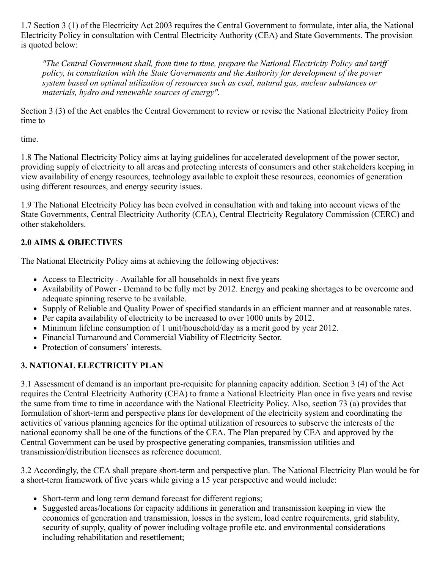1.7 Section 3 (1) of the Electricity Act 2003 requires the Central Government to formulate, inter alia, the National Electricity Policy in consultation with Central Electricity Authority (CEA) and State Governments. The provision is quoted below:

*"The Central Government shall, from time to time, prepare the National Electricity Policy and tariff policy, in consultation with the State Governments and the Authority for development of the power system based on optimal utilization of resources such as coal, natural gas, nuclear substances or materials, hydro and renewable sources of energy".*

Section 3 (3) of the Act enables the Central Government to review or revise the National Electricity Policy from time to

time.

1.8 The National Electricity Policy aims at laying guidelines for accelerated development of the power sector, providing supply of electricity to all areas and protecting interests of consumers and other stakeholders keeping in view availability of energy resources, technology available to exploit these resources, economics of generation using different resources, and energy security issues.

1.9 The National Electricity Policy has been evolved in consultation with and taking into account views of the State Governments, Central Electricity Authority (CEA), Central Electricity Regulatory Commission (CERC) and other stakeholders.

## **2.0 AIMS & OBJECTIVES**

The National Electricity Policy aims at achieving the following objectives:

- Access to Electricity Available for all households in next five years
- Availability of Power Demand to be fully met by 2012. Energy and peaking shortages to be overcome and adequate spinning reserve to be available.
- Supply of Reliable and Quality Power of specified standards in an efficient manner and at reasonable rates.
- Per capita availability of electricity to be increased to over 1000 units by 2012.
- Minimum lifeline consumption of 1 unit/household/day as a merit good by year 2012.
- Financial Turnaround and Commercial Viability of Electricity Sector.
- Protection of consumers' interests.

# **3. NATIONAL ELECTRICITY PLAN**

3.1 Assessment of demand is an important pre-requisite for planning capacity addition. Section 3 (4) of the Act requires the Central Electricity Authority (CEA) to frame a National Electricity Plan once in five years and revise the same from time to time in accordance with the National Electricity Policy. Also, section 73 (a) provides that formulation of short-term and perspective plans for development of the electricity system and coordinating the activities of various planning agencies for the optimal utilization of resources to subserve the interests of the national economy shall be one of the functions of the CEA. The Plan prepared by CEA and approved by the Central Government can be used by prospective generating companies, transmission utilities and transmission/distribution licensees as reference document.

3.2 Accordingly, the CEA shall prepare short-term and perspective plan. The National Electricity Plan would be for a short-term framework of five years while giving a 15 year perspective and would include:

- Short-term and long term demand forecast for different regions;
- Suggested areas/locations for capacity additions in generation and transmission keeping in view the economics of generation and transmission, losses in the system, load centre requirements, grid stability, security of supply, quality of power including voltage profile etc. and environmental considerations including rehabilitation and resettlement;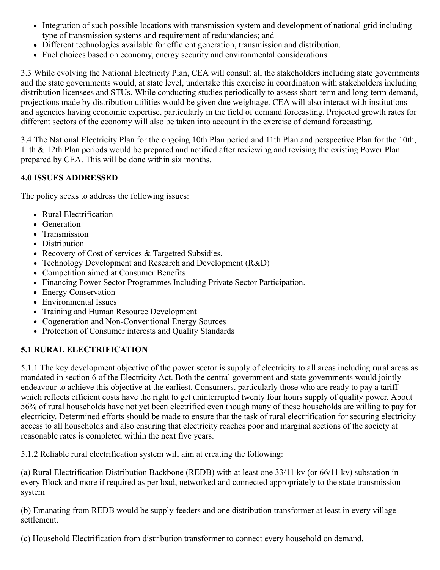- Integration of such possible locations with transmission system and development of national grid including type of transmission systems and requirement of redundancies; and
- Different technologies available for efficient generation, transmission and distribution.
- Fuel choices based on economy, energy security and environmental considerations.

3.3 While evolving the National Electricity Plan, CEA will consult all the stakeholders including state governments and the state governments would, at state level, undertake this exercise in coordination with stakeholders including distribution licensees and STUs. While conducting studies periodically to assess short-term and long-term demand, projections made by distribution utilities would be given due weightage. CEA will also interact with institutions and agencies having economic expertise, particularly in the field of demand forecasting. Projected growth rates for different sectors of the economy will also be taken into account in the exercise of demand forecasting.

3.4 The National Electricity Plan for the ongoing 10th Plan period and 11th Plan and perspective Plan for the 10th, 11th & 12th Plan periods would be prepared and notified after reviewing and revising the existing Power Plan prepared by CEA. This will be done within six months.

### **4.0 ISSUES ADDRESSED**

The policy seeks to address the following issues:

- Rural Electrification
- Generation
- Transmission
- Distribution
- Recovery of Cost of services & Targetted Subsidies.
- Technology Development and Research and Development (R&D)
- Competition aimed at Consumer Benefits
- Financing Power Sector Programmes Including Private Sector Participation.
- Energy Conservation
- Environmental Issues
- Training and Human Resource Development
- Cogeneration and Non-Conventional Energy Sources
- Protection of Consumer interests and Quality Standards

## **5.1 RURAL ELECTRIFICATION**

5.1.1 The key development objective of the power sector is supply of electricity to all areas including rural areas as mandated in section 6 of the Electricity Act. Both the central government and state governments would jointly endeavour to achieve this objective at the earliest. Consumers, particularly those who are ready to pay a tariff which reflects efficient costs have the right to get uninterrupted twenty four hours supply of quality power. About 56% of rural households have not yet been electrified even though many of these households are willing to pay for electricity. Determined efforts should be made to ensure that the task of rural electrification for securing electricity access to all households and also ensuring that electricity reaches poor and marginal sections of the society at reasonable rates is completed within the next five years.

5.1.2 Reliable rural electrification system will aim at creating the following:

(a) Rural Electrification Distribution Backbone (REDB) with at least one 33/11 kv (or 66/11 kv) substation in every Block and more if required as per load, networked and connected appropriately to the state transmission system

(b) Emanating from REDB would be supply feeders and one distribution transformer at least in every village settlement.

(c) Household Electrification from distribution transformer to connect every household on demand.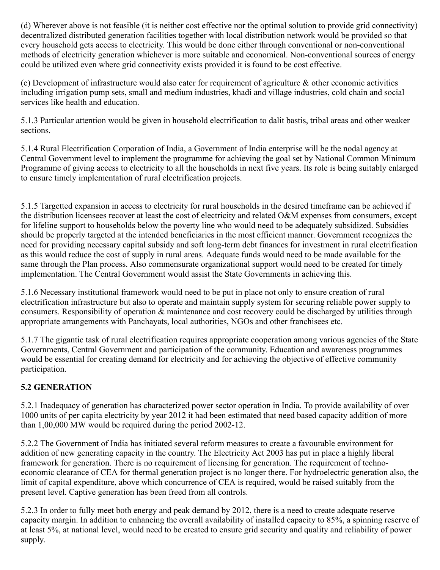(d) Wherever above is not feasible (it is neither cost effective nor the optimal solution to provide grid connectivity) decentralized distributed generation facilities together with local distribution network would be provided so that every household gets access to electricity. This would be done either through conventional or non-conventional methods of electricity generation whichever is more suitable and economical. Non-conventional sources of energy could be utilized even where grid connectivity exists provided it is found to be cost effective.

(e) Development of infrastructure would also cater for requirement of agriculture & other economic activities including irrigation pump sets, small and medium industries, khadi and village industries, cold chain and social services like health and education.

5.1.3 Particular attention would be given in household electrification to dalit bastis, tribal areas and other weaker sections.

5.1.4 Rural Electrification Corporation of India, a Government of India enterprise will be the nodal agency at Central Government level to implement the programme for achieving the goal set by National Common Minimum Programme of giving access to electricity to all the households in next five years. Its role is being suitably enlarged to ensure timely implementation of rural electrification projects.

5.1.5 Targetted expansion in access to electricity for rural households in the desired timeframe can be achieved if the distribution licensees recover at least the cost of electricity and related O&M expenses from consumers, except for lifeline support to households below the poverty line who would need to be adequately subsidized. Subsidies should be properly targeted at the intended beneficiaries in the most efficient manner. Government recognizes the need for providing necessary capital subsidy and soft long-term debt finances for investment in rural electrification as this would reduce the cost of supply in rural areas. Adequate funds would need to be made available for the same through the Plan process. Also commensurate organizational support would need to be created for timely implementation. The Central Government would assist the State Governments in achieving this.

5.1.6 Necessary institutional framework would need to be put in place not only to ensure creation of rural electrification infrastructure but also to operate and maintain supply system for securing reliable power supply to consumers. Responsibility of operation & maintenance and cost recovery could be discharged by utilities through appropriate arrangements with Panchayats, local authorities, NGOs and other franchisees etc.

5.1.7 The gigantic task of rural electrification requires appropriate cooperation among various agencies of the State Governments, Central Government and participation of the community. Education and awareness programmes would be essential for creating demand for electricity and for achieving the objective of effective community participation.

## **5.2 GENERATION**

5.2.1 Inadequacy of generation has characterized power sector operation in India. To provide availability of over 1000 units of per capita electricity by year 2012 it had been estimated that need based capacity addition of more than 1,00,000 MW would be required during the period 2002-12.

5.2.2 The Government of India has initiated several reform measures to create a favourable environment for addition of new generating capacity in the country. The Electricity Act 2003 has put in place a highly liberal framework for generation. There is no requirement of licensing for generation. The requirement of technoeconomic clearance of CEA for thermal generation project is no longer there. For hydroelectric generation also, the limit of capital expenditure, above which concurrence of CEA is required, would be raised suitably from the present level. Captive generation has been freed from all controls.

5.2.3 In order to fully meet both energy and peak demand by 2012, there is a need to create adequate reserve capacity margin. In addition to enhancing the overall availability of installed capacity to 85%, a spinning reserve of at least 5%, at national level, would need to be created to ensure grid security and quality and reliability of power supply.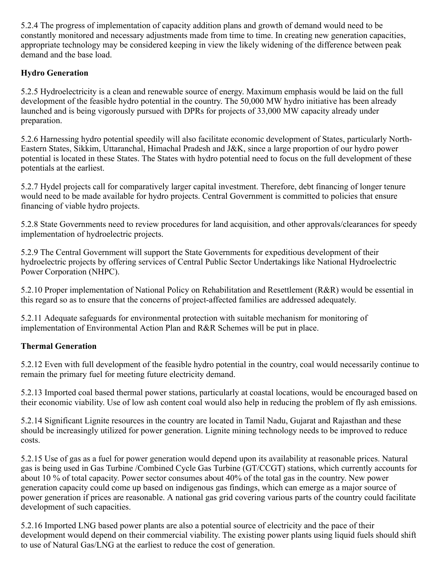5.2.4 The progress of implementation of capacity addition plans and growth of demand would need to be constantly monitored and necessary adjustments made from time to time. In creating new generation capacities, appropriate technology may be considered keeping in view the likely widening of the difference between peak demand and the base load.

### **Hydro Generation**

5.2.5 Hydroelectricity is a clean and renewable source of energy. Maximum emphasis would be laid on the full development of the feasible hydro potential in the country. The 50,000 MW hydro initiative has been already launched and is being vigorously pursued with DPRs for projects of 33,000 MW capacity already under preparation.

5.2.6 Harnessing hydro potential speedily will also facilitate economic development of States, particularly North-Eastern States, Sikkim, Uttaranchal, Himachal Pradesh and J&K, since a large proportion of our hydro power potential is located in these States. The States with hydro potential need to focus on the full development of these potentials at the earliest.

5.2.7 Hydel projects call for comparatively larger capital investment. Therefore, debt financing of longer tenure would need to be made available for hydro projects. Central Government is committed to policies that ensure financing of viable hydro projects.

5.2.8 State Governments need to review procedures for land acquisition, and other approvals/clearances for speedy implementation of hydroelectric projects.

5.2.9 The Central Government will support the State Governments for expeditious development of their hydroelectric projects by offering services of Central Public Sector Undertakings like National Hydroelectric Power Corporation (NHPC).

5.2.10 Proper implementation of National Policy on Rehabilitation and Resettlement (R&R) would be essential in this regard so as to ensure that the concerns of project-affected families are addressed adequately.

5.2.11 Adequate safeguards for environmental protection with suitable mechanism for monitoring of implementation of Environmental Action Plan and R&R Schemes will be put in place.

## **Thermal Generation**

5.2.12 Even with full development of the feasible hydro potential in the country, coal would necessarily continue to remain the primary fuel for meeting future electricity demand.

5.2.13 Imported coal based thermal power stations, particularly at coastal locations, would be encouraged based on their economic viability. Use of low ash content coal would also help in reducing the problem of fly ash emissions.

5.2.14 Significant Lignite resources in the country are located in Tamil Nadu, Gujarat and Rajasthan and these should be increasingly utilized for power generation. Lignite mining technology needs to be improved to reduce costs.

5.2.15 Use of gas as a fuel for power generation would depend upon its availability at reasonable prices. Natural gas is being used in Gas Turbine /Combined Cycle Gas Turbine (GT/CCGT) stations, which currently accounts for about 10 % of total capacity. Power sector consumes about 40% of the total gas in the country. New power generation capacity could come up based on indigenous gas findings, which can emerge as a major source of power generation if prices are reasonable. A national gas grid covering various parts of the country could facilitate development of such capacities.

5.2.16 Imported LNG based power plants are also a potential source of electricity and the pace of their development would depend on their commercial viability. The existing power plants using liquid fuels should shift to use of Natural Gas/LNG at the earliest to reduce the cost of generation.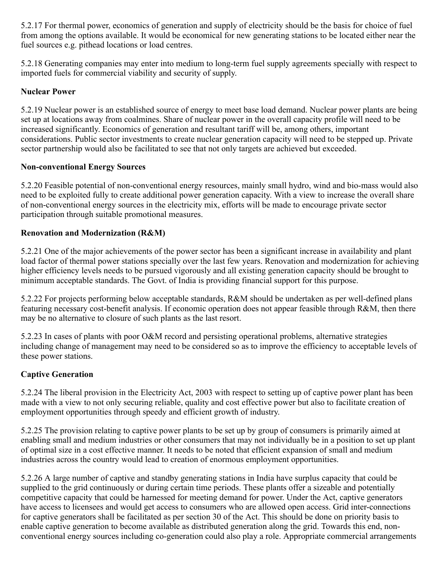5.2.17 For thermal power, economics of generation and supply of electricity should be the basis for choice of fuel from among the options available. It would be economical for new generating stations to be located either near the fuel sources e.g. pithead locations or load centres.

5.2.18 Generating companies may enter into medium to long-term fuel supply agreements specially with respect to imported fuels for commercial viability and security of supply.

### **Nuclear Power**

5.2.19 Nuclear power is an established source of energy to meet base load demand. Nuclear power plants are being set up at locations away from coalmines. Share of nuclear power in the overall capacity profile will need to be increased significantly. Economics of generation and resultant tariff will be, among others, important considerations. Public sector investments to create nuclear generation capacity will need to be stepped up. Private sector partnership would also be facilitated to see that not only targets are achieved but exceeded.

### **Non-conventional Energy Sources**

5.2.20 Feasible potential of non-conventional energy resources, mainly small hydro, wind and bio-mass would also need to be exploited fully to create additional power generation capacity. With a view to increase the overall share of non-conventional energy sources in the electricity mix, efforts will be made to encourage private sector participation through suitable promotional measures.

#### **Renovation and Modernization (R&M)**

5.2.21 One of the major achievements of the power sector has been a significant increase in availability and plant load factor of thermal power stations specially over the last few years. Renovation and modernization for achieving higher efficiency levels needs to be pursued vigorously and all existing generation capacity should be brought to minimum acceptable standards. The Govt. of India is providing financial support for this purpose.

5.2.22 For projects performing below acceptable standards, R&M should be undertaken as per well-defined plans featuring necessary cost-benefit analysis. If economic operation does not appear feasible through R&M, then there may be no alternative to closure of such plants as the last resort.

5.2.23 In cases of plants with poor O&M record and persisting operational problems, alternative strategies including change of management may need to be considered so as to improve the efficiency to acceptable levels of these power stations.

### **Captive Generation**

5.2.24 The liberal provision in the Electricity Act, 2003 with respect to setting up of captive power plant has been made with a view to not only securing reliable, quality and cost effective power but also to facilitate creation of employment opportunities through speedy and efficient growth of industry.

5.2.25 The provision relating to captive power plants to be set up by group of consumers is primarily aimed at enabling small and medium industries or other consumers that may not individually be in a position to set up plant of optimal size in a cost effective manner. It needs to be noted that efficient expansion of small and medium industries across the country would lead to creation of enormous employment opportunities.

5.2.26 A large number of captive and standby generating stations in India have surplus capacity that could be supplied to the grid continuously or during certain time periods. These plants offer a sizeable and potentially competitive capacity that could be harnessed for meeting demand for power. Under the Act, captive generators have access to licensees and would get access to consumers who are allowed open access. Grid inter-connections for captive generators shall be facilitated as per section 30 of the Act. This should be done on priority basis to enable captive generation to become available as distributed generation along the grid. Towards this end, nonconventional energy sources including co-generation could also play a role. Appropriate commercial arrangements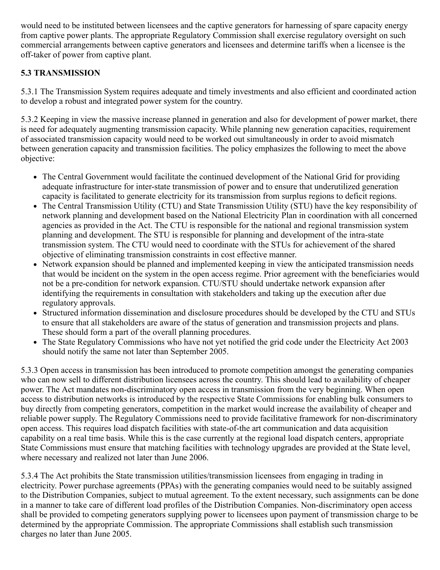would need to be instituted between licensees and the captive generators for harnessing of spare capacity energy from captive power plants. The appropriate Regulatory Commission shall exercise regulatory oversight on such commercial arrangements between captive generators and licensees and determine tariffs when a licensee is the off-taker of power from captive plant.

### **5.3 TRANSMISSION**

5.3.1 The Transmission System requires adequate and timely investments and also efficient and coordinated action to develop a robust and integrated power system for the country.

5.3.2 Keeping in view the massive increase planned in generation and also for development of power market, there is need for adequately augmenting transmission capacity. While planning new generation capacities, requirement of associated transmission capacity would need to be worked out simultaneously in order to avoid mismatch between generation capacity and transmission facilities. The policy emphasizes the following to meet the above objective:

- The Central Government would facilitate the continued development of the National Grid for providing adequate infrastructure for inter-state transmission of power and to ensure that underutilized generation capacity is facilitated to generate electricity for its transmission from surplus regions to deficit regions.
- The Central Transmission Utility (CTU) and State Transmission Utility (STU) have the key responsibility of network planning and development based on the National Electricity Plan in coordination with all concerned agencies as provided in the Act. The CTU is responsible for the national and regional transmission system planning and development. The STU is responsible for planning and development of the intra-state transmission system. The CTU would need to coordinate with the STUs for achievement of the shared objective of eliminating transmission constraints in cost effective manner.
- Network expansion should be planned and implemented keeping in view the anticipated transmission needs  $\bullet$ that would be incident on the system in the open access regime. Prior agreement with the beneficiaries would not be a pre-condition for network expansion. CTU/STU should undertake network expansion after identifying the requirements in consultation with stakeholders and taking up the execution after due regulatory approvals.
- Structured information dissemination and disclosure procedures should be developed by the CTU and STUs to ensure that all stakeholders are aware of the status of generation and transmission projects and plans. These should form a part of the overall planning procedures.
- The State Regulatory Commissions who have not yet notified the grid code under the Electricity Act 2003 should notify the same not later than September 2005.

5.3.3 Open access in transmission has been introduced to promote competition amongst the generating companies who can now sell to different distribution licensees across the country. This should lead to availability of cheaper power. The Act mandates non-discriminatory open access in transmission from the very beginning. When open access to distribution networks is introduced by the respective State Commissions for enabling bulk consumers to buy directly from competing generators, competition in the market would increase the availability of cheaper and reliable power supply. The Regulatory Commissions need to provide facilitative framework for non-discriminatory open access. This requires load dispatch facilities with state-of-the art communication and data acquisition capability on a real time basis. While this is the case currently at the regional load dispatch centers, appropriate State Commissions must ensure that matching facilities with technology upgrades are provided at the State level, where necessary and realized not later than June 2006.

5.3.4 The Act prohibits the State transmission utilities/transmission licensees from engaging in trading in electricity. Power purchase agreements (PPAs) with the generating companies would need to be suitably assigned to the Distribution Companies, subject to mutual agreement. To the extent necessary, such assignments can be done in a manner to take care of different load profiles of the Distribution Companies. Non-discriminatory open access shall be provided to competing generators supplying power to licensees upon payment of transmission charge to be determined by the appropriate Commission. The appropriate Commissions shall establish such transmission charges no later than June 2005.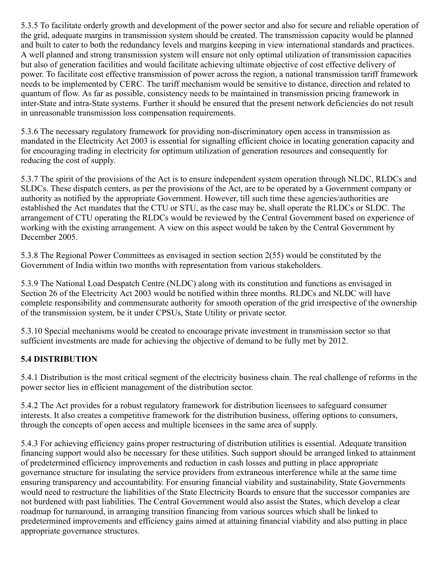5.3.5 To facilitate orderly growth and development of the power sector and also for secure and reliable operation of the grid, adequate margins in transmission system should be created. The transmission capacity would be planned and built to cater to both the redundancy levels and margins keeping in view international standards and practices. A well planned and strong transmission system will ensure not only optimal utilization of transmission capacities but also of generation facilities and would facilitate achieving ultimate objective of cost effective delivery of power. To facilitate cost effective transmission of power across the region, a national transmission tariff framework needs to be implemented by CERC. The tariff mechanism would be sensitive to distance, direction and related to quantum of flow. As far as possible, consistency needs to be maintained in transmission pricing framework in inter-State and intra-State systems. Further it should be ensured that the present network deficiencies do not result in unreasonable transmission loss compensation requirements.

5.3.6 The necessary regulatory framework for providing non-discriminatory open access in transmission as mandated in the Electricity Act 2003 is essential for signalling efficient choice in locating generation capacity and for encouraging trading in electricity for optimum utilization of generation resources and consequently for reducing the cost of supply.

5.3.7 The spirit of the provisions of the Act is to ensure independent system operation through NLDC, RLDCs and SLDCs. These dispatch centers, as per the provisions of the Act, are to be operated by a Government company or authority as notified by the appropriate Government. However, till such time these agencies/authorities are established the Act mandates that the CTU or STU, as the case may be, shall operate the RLDCs or SLDC. The arrangement of CTU operating the RLDCs would be reviewed by the Central Government based on experience of working with the existing arrangement. A view on this aspect would be taken by the Central Government by December 2005.

5.3.8 The Regional Power Committees as envisaged in section section 2(55) would be constituted by the Government of India within two months with representation from various stakeholders.

5.3.9 The National Load Despatch Centre (NLDC) along with its constitution and functions as envisaged in Section 26 of the Electricity Act 2003 would be notified within three months. RLDCs and NLDC will have complete responsibility and commensurate authority for smooth operation of the grid irrespective of the ownership of the transmission system, be it under CPSUs, State Utility or private sector.

5.3.10 Special mechanisms would be created to encourage private investment in transmission sector so that sufficient investments are made for achieving the objective of demand to be fully met by 2012.

### **5.4 DISTRIBUTION**

5.4.1 Distribution is the most critical segment of the electricity business chain. The real challenge of reforms in the power sector lies in efficient management of the distribution sector.

5.4.2 The Act provides for a robust regulatory framework for distribution licensees to safeguard consumer interests. It also creates a competitive framework for the distribution business, offering options to consumers, through the concepts of open access and multiple licensees in the same area of supply.

5.4.3 For achieving efficiency gains proper restructuring of distribution utilities is essential. Adequate transition financing support would also be necessary for these utilities. Such support should be arranged linked to attainment of predetermined efficiency improvements and reduction in cash losses and putting in place appropriate governance structure for insulating the service providers from extraneous interference while at the same time ensuring transparency and accountability. For ensuring financial viability and sustainability, State Governments would need to restructure the liabilities of the State Electricity Boards to ensure that the successor companies are not burdened with past liabilities. The Central Government would also assist the States, which develop a clear roadmap for turnaround, in arranging transition financing from various sources which shall be linked to predetermined improvements and efficiency gains aimed at attaining financial viability and also putting in place appropriate governance structures.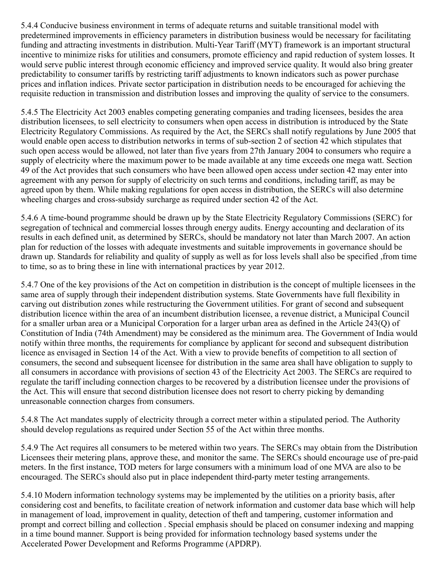5.4.4 Conducive business environment in terms of adequate returns and suitable transitional model with predetermined improvements in efficiency parameters in distribution business would be necessary for facilitating funding and attracting investments in distribution. Multi-Year Tariff (MYT) framework is an important structural incentive to minimize risks for utilities and consumers, promote efficiency and rapid reduction of system losses. It would serve public interest through economic efficiency and improved service quality. It would also bring greater predictability to consumer tariffs by restricting tariff adjustments to known indicators such as power purchase prices and inflation indices. Private sector participation in distribution needs to be encouraged for achieving the requisite reduction in transmission and distribution losses and improving the quality of service to the consumers.

5.4.5 The Electricity Act 2003 enables competing generating companies and trading licensees, besides the area distribution licensees, to sell electricity to consumers when open access in distribution is introduced by the State Electricity Regulatory Commissions. As required by the Act, the SERCs shall notify regulations by June 2005 that would enable open access to distribution networks in terms of sub-section 2 of section 42 which stipulates that such open access would be allowed, not later than five years from 27th January 2004 to consumers who require a supply of electricity where the maximum power to be made available at any time exceeds one mega watt. Section 49 of the Act provides that such consumers who have been allowed open access under section 42 may enter into agreement with any person for supply of electricity on such terms and conditions, including tariff, as may be agreed upon by them. While making regulations for open access in distribution, the SERCs will also determine wheeling charges and cross-subsidy surcharge as required under section 42 of the Act.

5.4.6 A time-bound programme should be drawn up by the State Electricity Regulatory Commissions (SERC) for segregation of technical and commercial losses through energy audits. Energy accounting and declaration of its results in each defined unit, as determined by SERCs, should be mandatory not later than March 2007. An action plan for reduction of the losses with adequate investments and suitable improvements in governance should be drawn up. Standards for reliability and quality of supply as well as for loss levels shall also be specified ,from time to time, so as to bring these in line with international practices by year 2012.

5.4.7 One of the key provisions of the Act on competition in distribution is the concept of multiple licensees in the same area of supply through their independent distribution systems. State Governments have full flexibility in carving out distribution zones while restructuring the Government utilities. For grant of second and subsequent distribution licence within the area of an incumbent distribution licensee, a revenue district, a Municipal Council for a smaller urban area or a Municipal Corporation for a larger urban area as defined in the Article 243(Q) of Constitution of India (74th Amendment) may be considered as the minimum area. The Government of India would notify within three months, the requirements for compliance by applicant for second and subsequent distribution licence as envisaged in Section 14 of the Act. With a view to provide benefits of competition to all section of consumers, the second and subsequent licensee for distribution in the same area shall have obligation to supply to all consumers in accordance with provisions of section 43 of the Electricity Act 2003. The SERCs are required to regulate the tariff including connection charges to be recovered by a distribution licensee under the provisions of the Act. This will ensure that second distribution licensee does not resort to cherry picking by demanding unreasonable connection charges from consumers.

5.4.8 The Act mandates supply of electricity through a correct meter within a stipulated period. The Authority should develop regulations as required under Section 55 of the Act within three months.

5.4.9 The Act requires all consumers to be metered within two years. The SERCs may obtain from the Distribution Licensees their metering plans, approve these, and monitor the same. The SERCs should encourage use of pre-paid meters. In the first instance, TOD meters for large consumers with a minimum load of one MVA are also to be encouraged. The SERCs should also put in place independent third-party meter testing arrangements.

5.4.10 Modern information technology systems may be implemented by the utilities on a priority basis, after considering cost and benefits, to facilitate creation of network information and customer data base which will help in management of load, improvement in quality, detection of theft and tampering, customer information and prompt and correct billing and collection . Special emphasis should be placed on consumer indexing and mapping in a time bound manner. Support is being provided for information technology based systems under the Accelerated Power Development and Reforms Programme (APDRP).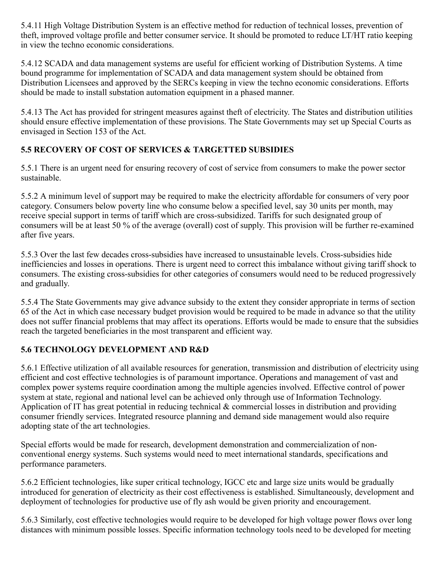5.4.11 High Voltage Distribution System is an effective method for reduction of technical losses, prevention of theft, improved voltage profile and better consumer service. It should be promoted to reduce LT/HT ratio keeping in view the techno economic considerations.

5.4.12 SCADA and data management systems are useful for efficient working of Distribution Systems. A time bound programme for implementation of SCADA and data management system should be obtained from Distribution Licensees and approved by the SERCs keeping in view the techno economic considerations. Efforts should be made to install substation automation equipment in a phased manner.

5.4.13 The Act has provided for stringent measures against theft of electricity. The States and distribution utilities should ensure effective implementation of these provisions. The State Governments may set up Special Courts as envisaged in Section 153 of the Act.

## **5.5 RECOVERY OF COST OF SERVICES & TARGETTED SUBSIDIES**

5.5.1 There is an urgent need for ensuring recovery of cost of service from consumers to make the power sector sustainable.

5.5.2 A minimum level of support may be required to make the electricity affordable for consumers of very poor category. Consumers below poverty line who consume below a specified level, say 30 units per month, may receive special support in terms of tariff which are cross-subsidized. Tariffs for such designated group of consumers will be at least 50 % of the average (overall) cost of supply. This provision will be further re-examined after five years.

5.5.3 Over the last few decades cross-subsidies have increased to unsustainable levels. Cross-subsidies hide inefficiencies and losses in operations. There is urgent need to correct this imbalance without giving tariff shock to consumers. The existing cross-subsidies for other categories of consumers would need to be reduced progressively and gradually.

5.5.4 The State Governments may give advance subsidy to the extent they consider appropriate in terms of section 65 of the Act in which case necessary budget provision would be required to be made in advance so that the utility does not suffer financial problems that may affect its operations. Efforts would be made to ensure that the subsidies reach the targeted beneficiaries in the most transparent and efficient way.

### **5.6 TECHNOLOGY DEVELOPMENT AND R&D**

5.6.1 Effective utilization of all available resources for generation, transmission and distribution of electricity using efficient and cost effective technologies is of paramount importance. Operations and management of vast and complex power systems require coordination among the multiple agencies involved. Effective control of power system at state, regional and national level can be achieved only through use of Information Technology. Application of IT has great potential in reducing technical & commercial losses in distribution and providing consumer friendly services. Integrated resource planning and demand side management would also require adopting state of the art technologies.

Special efforts would be made for research, development demonstration and commercialization of nonconventional energy systems. Such systems would need to meet international standards, specifications and performance parameters.

5.6.2 Efficient technologies, like super critical technology, IGCC etc and large size units would be gradually introduced for generation of electricity as their cost effectiveness is established. Simultaneously, development and deployment of technologies for productive use of fly ash would be given priority and encouragement.

5.6.3 Similarly, cost effective technologies would require to be developed for high voltage power flows over long distances with minimum possible losses. Specific information technology tools need to be developed for meeting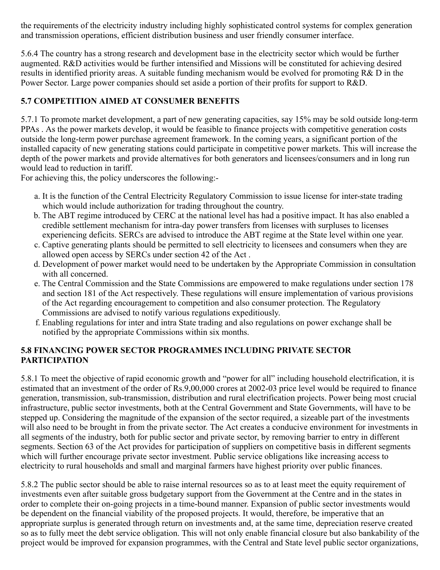the requirements of the electricity industry including highly sophisticated control systems for complex generation and transmission operations, efficient distribution business and user friendly consumer interface.

5.6.4 The country has a strong research and development base in the electricity sector which would be further augmented. R&D activities would be further intensified and Missions will be constituted for achieving desired results in identified priority areas. A suitable funding mechanism would be evolved for promoting R& D in the Power Sector. Large power companies should set aside a portion of their profits for support to R&D.

## **5.7 COMPETITION AIMED AT CONSUMER BENEFITS**

5.7.1 To promote market development, a part of new generating capacities, say 15% may be sold outside long-term PPAs . As the power markets develop, it would be feasible to finance projects with competitive generation costs outside the long-term power purchase agreement framework. In the coming years, a significant portion of the installed capacity of new generating stations could participate in competitive power markets. This will increase the depth of the power markets and provide alternatives for both generators and licensees/consumers and in long run would lead to reduction in tariff.

For achieving this, the policy underscores the following:-

- a. It is the function of the Central Electricity Regulatory Commission to issue license for inter-state trading which would include authorization for trading throughout the country.
- b. The ABT regime introduced by CERC at the national level has had a positive impact. It has also enabled a credible settlement mechanism for intra-day power transfers from licenses with surpluses to licenses experiencing deficits. SERCs are advised to introduce the ABT regime at the State level within one year.
- c. Captive generating plants should be permitted to sell electricity to licensees and consumers when they are allowed open access by SERCs under section 42 of the Act .
- d. Development of power market would need to be undertaken by the Appropriate Commission in consultation with all concerned.
- e. The Central Commission and the State Commissions are empowered to make regulations under section 178 and section 181 of the Act respectively. These regulations will ensure implementation of various provisions of the Act regarding encouragement to competition and also consumer protection. The Regulatory Commissions are advised to notify various regulations expeditiously.
- f. Enabling regulations for inter and intra State trading and also regulations on power exchange shall be notified by the appropriate Commissions within six months.

### **5.8 FINANCING POWER SECTOR PROGRAMMES INCLUDING PRIVATE SECTOR PARTICIPATION**

5.8.1 To meet the objective of rapid economic growth and "power for all" including household electrification, it is estimated that an investment of the order of Rs.9,00,000 crores at 2002-03 price level would be required to finance generation, transmission, sub-transmission, distribution and rural electrification projects. Power being most crucial infrastructure, public sector investments, both at the Central Government and State Governments, will have to be stepped up. Considering the magnitude of the expansion of the sector required, a sizeable part of the investments will also need to be brought in from the private sector. The Act creates a conducive environment for investments in all segments of the industry, both for public sector and private sector, by removing barrier to entry in different segments. Section 63 of the Act provides for participation of suppliers on competitive basis in different segments which will further encourage private sector investment. Public service obligations like increasing access to electricity to rural households and small and marginal farmers have highest priority over public finances.

5.8.2 The public sector should be able to raise internal resources so as to at least meet the equity requirement of investments even after suitable gross budgetary support from the Government at the Centre and in the states in order to complete their on-going projects in a time-bound manner. Expansion of public sector investments would be dependent on the financial viability of the proposed projects. It would, therefore, be imperative that an appropriate surplus is generated through return on investments and, at the same time, depreciation reserve created so as to fully meet the debt service obligation. This will not only enable financial closure but also bankability of the project would be improved for expansion programmes, with the Central and State level public sector organizations,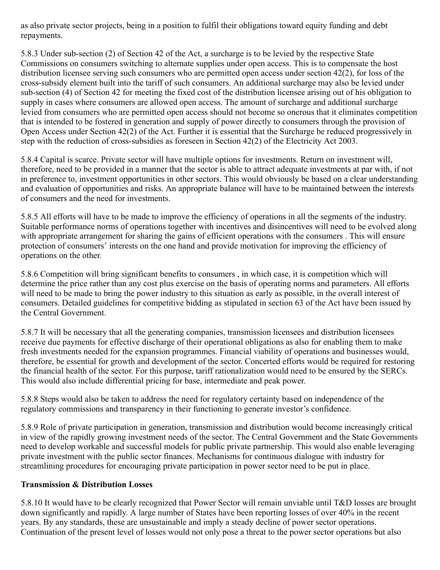as also private sector projects, being in a position to fulfil their obligations toward equity funding and debt repayments.

5.8.3 Under sub-section (2) of Section 42 of the Act, a surcharge is to be levied by the respective State Commissions on consumers switching to alternate supplies under open access. This is to compensate the host distribution licensee serving such consumers who are permitted open access under section 42(2), for loss of the cross-subsidy element built into the tariff of such consumers. An additional surcharge may also be levied under sub-section (4) of Section 42 for meeting the fixed cost of the distribution licensee arising out of his obligation to supply in cases where consumers are allowed open access. The amount of surcharge and additional surcharge levied from consumers who are permitted open access should not become so onerous that it eliminates competition that is intended to be fostered in generation and supply of power directly to consumers through the provision of Open Access under Section 42(2) of the Act. Further it is essential that the Surcharge be reduced progressively in step with the reduction of cross-subsidies as foreseen in Section 42(2) of the Electricity Act 2003.

5.8.4 Capital is scarce. Private sector will have multiple options for investments. Return on investment will, therefore, need to be provided in a manner that the sector is able to attract adequate investments at par with, if not in preference to, investment opportunities in other sectors. This would obviously be based on a clear understanding and evaluation of opportunities and risks. An appropriate balance will have to be maintained between the interests of consumers and the need for investments.

5.8.5 All efforts will have to be made to improve the efficiency of operations in all the segments of the industry. Suitable performance norms of operations together with incentives and disincentives will need to be evolved along with appropriate arrangement for sharing the gains of efficient operations with the consumers. This will ensure protection of consumers' interests on the one hand and provide motivation for improving the efficiency of operations on the other.

5.8.6 Competition will bring significant benefits to consumers , in which case, it is competition which will determine the price rather than any cost plus exercise on the basis of operating norms and parameters. All efforts will need to be made to bring the power industry to this situation as early as possible, in the overall interest of consumers. Detailed guidelines for competitive bidding as stipulated in section 63 of the Act have been issued by the Central Government.

5.8.7 It will be necessary that all the generating companies, transmission licensees and distribution licensees receive due payments for effective discharge of their operational obligations as also for enabling them to make fresh investments needed for the expansion programmes. Financial viability of operations and businesses would, therefore, be essential for growth and development of the sector. Concerted efforts would be required for restoring the financial health of the sector. For this purpose, tariff rationalization would need to be ensured by the SERCs. This would also include differential pricing for base, intermediate and peak power.

5.8.8 Steps would also be taken to address the need for regulatory certainty based on independence of the regulatory commissions and transparency in their functioning to generate investor's confidence.

5.8.9 Role of private participation in generation, transmission and distribution would become increasingly critical in view of the rapidly growing investment needs of the sector. The Central Government and the State Governments need to develop workable and successful models for public private partnership. This would also enable leveraging private investment with the public sector finances. Mechanisms for continuous dialogue with industry for streamlining procedures for encouraging private participation in power sector need to be put in place.

#### **Transmission & Distribution Losses**

5.8.10 It would have to be clearly recognized that Power Sector will remain unviable until T&D losses are brought down significantly and rapidly. A large number of States have been reporting losses of over 40% in the recent years. By any standards, these are unsustainable and imply a steady decline of power sector operations. Continuation of the present level of losses would not only pose a threat to the power sector operations but also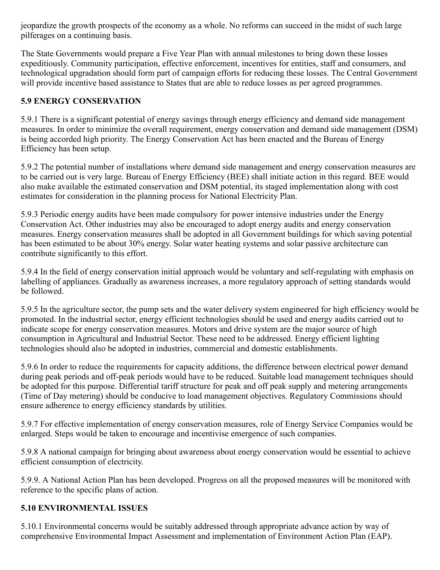jeopardize the growth prospects of the economy as a whole. No reforms can succeed in the midst of such large pilferages on a continuing basis.

The State Governments would prepare a Five Year Plan with annual milestones to bring down these losses expeditiously. Community participation, effective enforcement, incentives for entities, staff and consumers, and technological upgradation should form part of campaign efforts for reducing these losses. The Central Government will provide incentive based assistance to States that are able to reduce losses as per agreed programmes.

### **5.9 ENERGY CONSERVATION**

5.9.1 There is a significant potential of energy savings through energy efficiency and demand side management measures. In order to minimize the overall requirement, energy conservation and demand side management (DSM) is being accorded high priority. The Energy Conservation Act has been enacted and the Bureau of Energy Efficiency has been setup.

5.9.2 The potential number of installations where demand side management and energy conservation measures are to be carried out is very large. Bureau of Energy Efficiency (BEE) shall initiate action in this regard. BEE would also make available the estimated conservation and DSM potential, its staged implementation along with cost estimates for consideration in the planning process for National Electricity Plan.

5.9.3 Periodic energy audits have been made compulsory for power intensive industries under the Energy Conservation Act. Other industries may also be encouraged to adopt energy audits and energy conservation measures. Energy conservation measures shall be adopted in all Government buildings for which saving potential has been estimated to be about 30% energy. Solar water heating systems and solar passive architecture can contribute significantly to this effort.

5.9.4 In the field of energy conservation initial approach would be voluntary and self-regulating with emphasis on labelling of appliances. Gradually as awareness increases, a more regulatory approach of setting standards would be followed.

5.9.5 In the agriculture sector, the pump sets and the water delivery system engineered for high efficiency would be promoted. In the industrial sector, energy efficient technologies should be used and energy audits carried out to indicate scope for energy conservation measures. Motors and drive system are the major source of high consumption in Agricultural and Industrial Sector. These need to be addressed. Energy efficient lighting technologies should also be adopted in industries, commercial and domestic establishments.

5.9.6 In order to reduce the requirements for capacity additions, the difference between electrical power demand during peak periods and off-peak periods would have to be reduced. Suitable load management techniques should be adopted for this purpose. Differential tariff structure for peak and off peak supply and metering arrangements (Time of Day metering) should be conducive to load management objectives. Regulatory Commissions should ensure adherence to energy efficiency standards by utilities.

5.9.7 For effective implementation of energy conservation measures, role of Energy Service Companies would be enlarged. Steps would be taken to encourage and incentivise emergence of such companies.

5.9.8 A national campaign for bringing about awareness about energy conservation would be essential to achieve efficient consumption of electricity.

5.9.9. A National Action Plan has been developed. Progress on all the proposed measures will be monitored with reference to the specific plans of action.

### **5.10 ENVIRONMENTAL ISSUES**

5.10.1 Environmental concerns would be suitably addressed through appropriate advance action by way of comprehensive Environmental Impact Assessment and implementation of Environment Action Plan (EAP).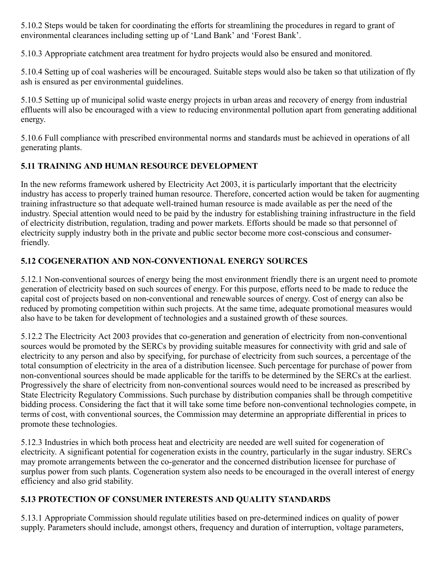5.10.2 Steps would be taken for coordinating the efforts for streamlining the procedures in regard to grant of environmental clearances including setting up of 'Land Bank' and 'Forest Bank'.

5.10.3 Appropriate catchment area treatment for hydro projects would also be ensured and monitored.

5.10.4 Setting up of coal washeries will be encouraged. Suitable steps would also be taken so that utilization of fly ash is ensured as per environmental guidelines.

5.10.5 Setting up of municipal solid waste energy projects in urban areas and recovery of energy from industrial effluents will also be encouraged with a view to reducing environmental pollution apart from generating additional energy.

5.10.6 Full compliance with prescribed environmental norms and standards must be achieved in operations of all generating plants.

## **5.11 TRAINING AND HUMAN RESOURCE DEVELOPMENT**

In the new reforms framework ushered by Electricity Act 2003, it is particularly important that the electricity industry has access to properly trained human resource. Therefore, concerted action would be taken for augmenting training infrastructure so that adequate well-trained human resource is made available as per the need of the industry. Special attention would need to be paid by the industry for establishing training infrastructure in the field of electricity distribution, regulation, trading and power markets. Efforts should be made so that personnel of electricity supply industry both in the private and public sector become more cost-conscious and consumerfriendly.

## **5.12 COGENERATION AND NON-CONVENTIONAL ENERGY SOURCES**

5.12.1 Non-conventional sources of energy being the most environment friendly there is an urgent need to promote generation of electricity based on such sources of energy. For this purpose, efforts need to be made to reduce the capital cost of projects based on non-conventional and renewable sources of energy. Cost of energy can also be reduced by promoting competition within such projects. At the same time, adequate promotional measures would also have to be taken for development of technologies and a sustained growth of these sources.

5.12.2 The Electricity Act 2003 provides that co-generation and generation of electricity from non-conventional sources would be promoted by the SERCs by providing suitable measures for connectivity with grid and sale of electricity to any person and also by specifying, for purchase of electricity from such sources, a percentage of the total consumption of electricity in the area of a distribution licensee. Such percentage for purchase of power from non-conventional sources should be made applicable for the tariffs to be determined by the SERCs at the earliest. Progressively the share of electricity from non-conventional sources would need to be increased as prescribed by State Electricity Regulatory Commissions. Such purchase by distribution companies shall be through competitive bidding process. Considering the fact that it will take some time before non-conventional technologies compete, in terms of cost, with conventional sources, the Commission may determine an appropriate differential in prices to promote these technologies.

5.12.3 Industries in which both process heat and electricity are needed are well suited for cogeneration of electricity. A significant potential for cogeneration exists in the country, particularly in the sugar industry. SERCs may promote arrangements between the co-generator and the concerned distribution licensee for purchase of surplus power from such plants. Cogeneration system also needs to be encouraged in the overall interest of energy efficiency and also grid stability.

## **5.13 PROTECTION OF CONSUMER INTERESTS AND QUALITY STANDARDS**

5.13.1 Appropriate Commission should regulate utilities based on pre-determined indices on quality of power supply. Parameters should include, amongst others, frequency and duration of interruption, voltage parameters,